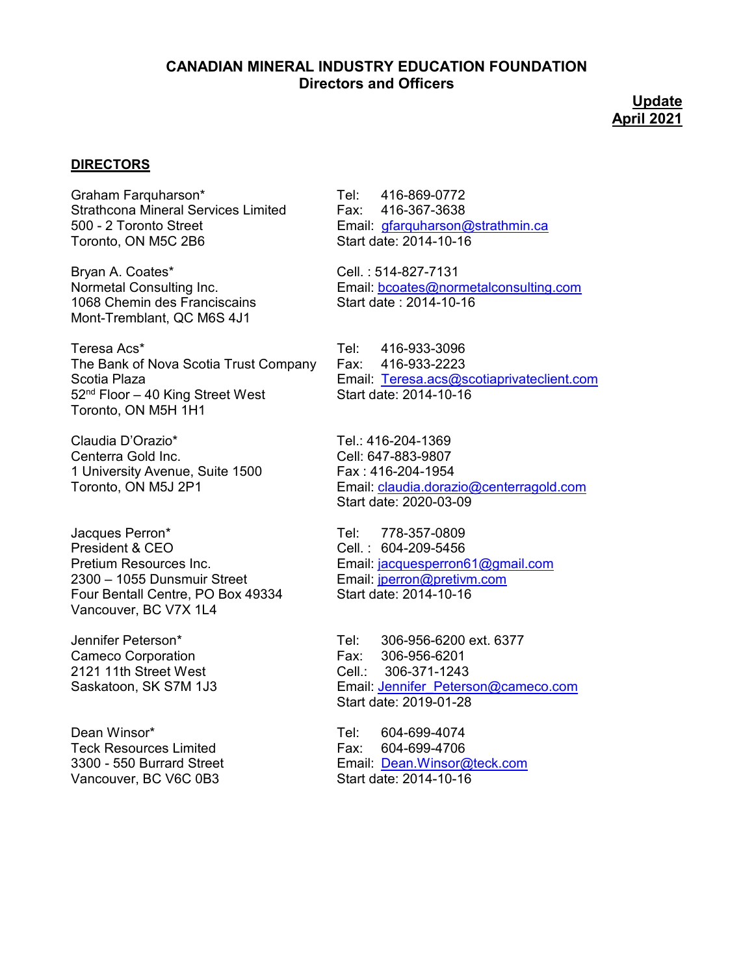## **CANADIAN MINERAL INDUSTRY EDUCATION FOUNDATION Directors and Officers**

**Update April 2021**

## **DIRECTORS**

Graham Farquharson\* Tel: 416-869-0772 Strathcona Mineral Services Limited Fax: 416-367-3638 500 - 2 Toronto Street Figure 2 Toronto Street Email: [gfarquharson@strathmin.ca](mailto:gfarquharson@strathmin.ca)<br>Toronto, ON M5C 2B6 Figure 2014-10-16 Toronto, ON M5C 2B6

Bryan A. Coates\* Cell. : 514-827-7131 1068 Chemin des Franciscains Start date : 2014-10-16 Mont-Tremblant, QC M6S 4J1

Teresa Acs\* Teresa Acs\* [1]<br>The Bank of Nova Scotia Trust Company Fax: 416-933-2223 The Bank of Nova Scotia Trust Company Fax:  $52<sup>nd</sup>$  Floor – 40 King Street West Toronto, ON M5H 1H1

Claudia D'Orazio\* Tel.: 416-204-1369<br>Centerra Gold Inc. Centerra Gold Inc. 1 University Avenue, Suite 1500 Fax : 416-204-1954<br>Toronto, ON M5J 2P1 Foronto, ON M5J 2P1

Jacques Perron\* Tel: 778-357-0809 Four Bentall Centre, PO Box 49334 Start date: 2014-10-16 Vancouver, BC V7X 1L4

Cameco Corporation **Fax:** 306-956-6201 2121 11th Street West Cell.: 306-371-1243

Dean Winsor\* Tel: 604-699-4074 Teck Resources Limited Fax: 604-699-4706 Vancouver, BC V6C 0B3

Normetal Consulting Inc. **Email:** [bcoates@normetalconsulting.com](mailto:bcoates@normetalconsulting.com)

Scotia Plaza<br>52<sup>nd</sup> Floor – 40 King Street West **Email:** [Teresa.acs@scotiaprivateclient.com](mailto:Teresa.acs@scotiaprivateclient.com)

Cell: 647-883-9807 Email: [claudia.dorazio@centerragold.com](mailto:claudia.dorazio@centerragold.com) Start date: 2020-03-09

Cell. : 604-209-5456 Pretium Resources Inc. <br>
2300 – 1055 Dunsmuir Street<br>
2300 – 1055 Dunsmuir Street<br>
Email: iperron@pretiym.com Email: [jperron@pretivm.com](mailto:jperron@pretivm.com)

Jennifer Peterson\* Tel: 306-956-6200 ext. 6377 Saskatoon, SK S7M 1J3 **Email: Jennifer** Peterson@cameco.com Start date: 2019-01-28

3300 - 550 Burrard Street Email: [Dean.Winsor@teck.com](mailto:Dean.Winsor@teck.com)